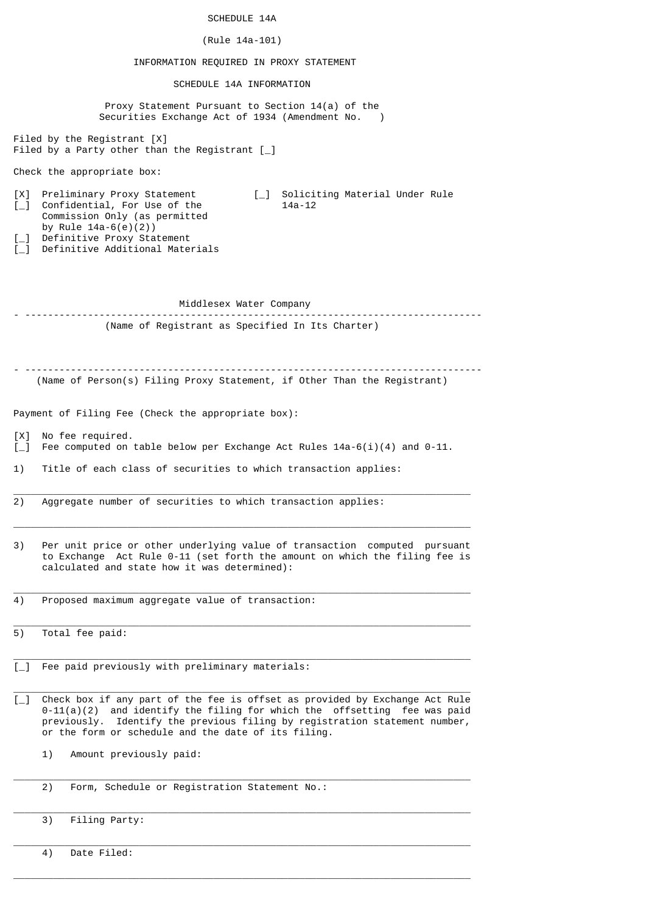| (Rule 14a-101)<br>INFORMATION REQUIRED IN PROXY STATEMENT<br>SCHEDULE 14A INFORMATION<br>Proxy Statement Pursuant to Section 14(a) of the<br>Securities Exchange Act of 1934 (Amendment No. )<br>Filed by the Registrant $[X]$<br>Filed by a Party other than the Registrant $\lceil \_ \rceil$<br>Check the appropriate box:<br>Preliminary Proxy Statement<br>[_] Soliciting Material Under Rule<br>[X]<br>$L_{\perp}$<br>Confidential, For Use of the<br>$14a - 12$<br>Commission Only (as permitted<br>by Rule $14a-6(e)(2)$<br>Definitive Proxy Statement<br>$\left[\begin{smallmatrix}1\\1\end{smallmatrix}\right]$<br>Definitive Additional Materials<br>$\lceil \_ \rceil$<br>Middlesex Water Company<br>(Name of Registrant as Specified In Its Charter)<br>(Name of Person(s) Filing Proxy Statement, if Other Than the Registrant)<br>Payment of Filing Fee (Check the appropriate box):<br>No fee required.<br>[X]<br>Fee computed on table below per Exchange Act Rules $14a-6(i)(4)$ and $0-11$ .<br>$\Box$<br>1)<br>Title of each class of securities to which transaction applies:<br>Aggregate number of securities to which transaction applies:<br>2)<br>3)<br>Per unit price or other underlying value of transaction computed pursuant<br>to Exchange Act Rule 0-11 (set forth the amount on which the filing fee is<br>calculated and state how it was determined):<br>Proposed maximum aggregate value of transaction:<br>4)<br>Total fee paid:<br>5)<br>$\left[\begin{matrix}1\\1\end{matrix}\right]$<br>Fee paid previously with preliminary materials:<br>Check box if any part of the fee is offset as provided by Exchange Act Rule<br>$\left[\begin{matrix}1\\1\end{matrix}\right]$<br>$0-11(a)(2)$ and identify the filing for which the offsetting fee was paid<br>previously.<br>or the form or schedule and the date of its filing.<br>Amount previously paid:<br>1)<br>Form, Schedule or Registration Statement No.:<br>2)<br>Filing Party:<br>3) | SCHEDULE 14A                                                   |
|-------------------------------------------------------------------------------------------------------------------------------------------------------------------------------------------------------------------------------------------------------------------------------------------------------------------------------------------------------------------------------------------------------------------------------------------------------------------------------------------------------------------------------------------------------------------------------------------------------------------------------------------------------------------------------------------------------------------------------------------------------------------------------------------------------------------------------------------------------------------------------------------------------------------------------------------------------------------------------------------------------------------------------------------------------------------------------------------------------------------------------------------------------------------------------------------------------------------------------------------------------------------------------------------------------------------------------------------------------------------------------------------------------------------------------------------------------------------------------------------------------------------------------------------------------------------------------------------------------------------------------------------------------------------------------------------------------------------------------------------------------------------------------------------------------------------------------------------------------------------------------------------------------------------------------------------------------------------------------------|----------------------------------------------------------------|
|                                                                                                                                                                                                                                                                                                                                                                                                                                                                                                                                                                                                                                                                                                                                                                                                                                                                                                                                                                                                                                                                                                                                                                                                                                                                                                                                                                                                                                                                                                                                                                                                                                                                                                                                                                                                                                                                                                                                                                                     |                                                                |
|                                                                                                                                                                                                                                                                                                                                                                                                                                                                                                                                                                                                                                                                                                                                                                                                                                                                                                                                                                                                                                                                                                                                                                                                                                                                                                                                                                                                                                                                                                                                                                                                                                                                                                                                                                                                                                                                                                                                                                                     |                                                                |
|                                                                                                                                                                                                                                                                                                                                                                                                                                                                                                                                                                                                                                                                                                                                                                                                                                                                                                                                                                                                                                                                                                                                                                                                                                                                                                                                                                                                                                                                                                                                                                                                                                                                                                                                                                                                                                                                                                                                                                                     |                                                                |
|                                                                                                                                                                                                                                                                                                                                                                                                                                                                                                                                                                                                                                                                                                                                                                                                                                                                                                                                                                                                                                                                                                                                                                                                                                                                                                                                                                                                                                                                                                                                                                                                                                                                                                                                                                                                                                                                                                                                                                                     |                                                                |
|                                                                                                                                                                                                                                                                                                                                                                                                                                                                                                                                                                                                                                                                                                                                                                                                                                                                                                                                                                                                                                                                                                                                                                                                                                                                                                                                                                                                                                                                                                                                                                                                                                                                                                                                                                                                                                                                                                                                                                                     |                                                                |
|                                                                                                                                                                                                                                                                                                                                                                                                                                                                                                                                                                                                                                                                                                                                                                                                                                                                                                                                                                                                                                                                                                                                                                                                                                                                                                                                                                                                                                                                                                                                                                                                                                                                                                                                                                                                                                                                                                                                                                                     |                                                                |
|                                                                                                                                                                                                                                                                                                                                                                                                                                                                                                                                                                                                                                                                                                                                                                                                                                                                                                                                                                                                                                                                                                                                                                                                                                                                                                                                                                                                                                                                                                                                                                                                                                                                                                                                                                                                                                                                                                                                                                                     |                                                                |
|                                                                                                                                                                                                                                                                                                                                                                                                                                                                                                                                                                                                                                                                                                                                                                                                                                                                                                                                                                                                                                                                                                                                                                                                                                                                                                                                                                                                                                                                                                                                                                                                                                                                                                                                                                                                                                                                                                                                                                                     |                                                                |
|                                                                                                                                                                                                                                                                                                                                                                                                                                                                                                                                                                                                                                                                                                                                                                                                                                                                                                                                                                                                                                                                                                                                                                                                                                                                                                                                                                                                                                                                                                                                                                                                                                                                                                                                                                                                                                                                                                                                                                                     |                                                                |
|                                                                                                                                                                                                                                                                                                                                                                                                                                                                                                                                                                                                                                                                                                                                                                                                                                                                                                                                                                                                                                                                                                                                                                                                                                                                                                                                                                                                                                                                                                                                                                                                                                                                                                                                                                                                                                                                                                                                                                                     |                                                                |
|                                                                                                                                                                                                                                                                                                                                                                                                                                                                                                                                                                                                                                                                                                                                                                                                                                                                                                                                                                                                                                                                                                                                                                                                                                                                                                                                                                                                                                                                                                                                                                                                                                                                                                                                                                                                                                                                                                                                                                                     |                                                                |
|                                                                                                                                                                                                                                                                                                                                                                                                                                                                                                                                                                                                                                                                                                                                                                                                                                                                                                                                                                                                                                                                                                                                                                                                                                                                                                                                                                                                                                                                                                                                                                                                                                                                                                                                                                                                                                                                                                                                                                                     |                                                                |
|                                                                                                                                                                                                                                                                                                                                                                                                                                                                                                                                                                                                                                                                                                                                                                                                                                                                                                                                                                                                                                                                                                                                                                                                                                                                                                                                                                                                                                                                                                                                                                                                                                                                                                                                                                                                                                                                                                                                                                                     |                                                                |
|                                                                                                                                                                                                                                                                                                                                                                                                                                                                                                                                                                                                                                                                                                                                                                                                                                                                                                                                                                                                                                                                                                                                                                                                                                                                                                                                                                                                                                                                                                                                                                                                                                                                                                                                                                                                                                                                                                                                                                                     |                                                                |
|                                                                                                                                                                                                                                                                                                                                                                                                                                                                                                                                                                                                                                                                                                                                                                                                                                                                                                                                                                                                                                                                                                                                                                                                                                                                                                                                                                                                                                                                                                                                                                                                                                                                                                                                                                                                                                                                                                                                                                                     |                                                                |
|                                                                                                                                                                                                                                                                                                                                                                                                                                                                                                                                                                                                                                                                                                                                                                                                                                                                                                                                                                                                                                                                                                                                                                                                                                                                                                                                                                                                                                                                                                                                                                                                                                                                                                                                                                                                                                                                                                                                                                                     |                                                                |
|                                                                                                                                                                                                                                                                                                                                                                                                                                                                                                                                                                                                                                                                                                                                                                                                                                                                                                                                                                                                                                                                                                                                                                                                                                                                                                                                                                                                                                                                                                                                                                                                                                                                                                                                                                                                                                                                                                                                                                                     |                                                                |
|                                                                                                                                                                                                                                                                                                                                                                                                                                                                                                                                                                                                                                                                                                                                                                                                                                                                                                                                                                                                                                                                                                                                                                                                                                                                                                                                                                                                                                                                                                                                                                                                                                                                                                                                                                                                                                                                                                                                                                                     | Identify the previous filing by registration statement number, |
|                                                                                                                                                                                                                                                                                                                                                                                                                                                                                                                                                                                                                                                                                                                                                                                                                                                                                                                                                                                                                                                                                                                                                                                                                                                                                                                                                                                                                                                                                                                                                                                                                                                                                                                                                                                                                                                                                                                                                                                     |                                                                |
|                                                                                                                                                                                                                                                                                                                                                                                                                                                                                                                                                                                                                                                                                                                                                                                                                                                                                                                                                                                                                                                                                                                                                                                                                                                                                                                                                                                                                                                                                                                                                                                                                                                                                                                                                                                                                                                                                                                                                                                     |                                                                |
|                                                                                                                                                                                                                                                                                                                                                                                                                                                                                                                                                                                                                                                                                                                                                                                                                                                                                                                                                                                                                                                                                                                                                                                                                                                                                                                                                                                                                                                                                                                                                                                                                                                                                                                                                                                                                                                                                                                                                                                     |                                                                |

\_\_\_\_\_\_\_\_\_\_\_\_\_\_\_\_\_\_\_\_\_\_\_\_\_\_\_\_\_\_\_\_\_\_\_\_\_\_\_\_\_\_\_\_\_\_\_\_\_\_\_\_\_\_\_\_\_\_\_\_\_\_\_\_\_\_\_\_\_\_\_\_\_\_\_\_\_\_\_\_

4) Date Filed: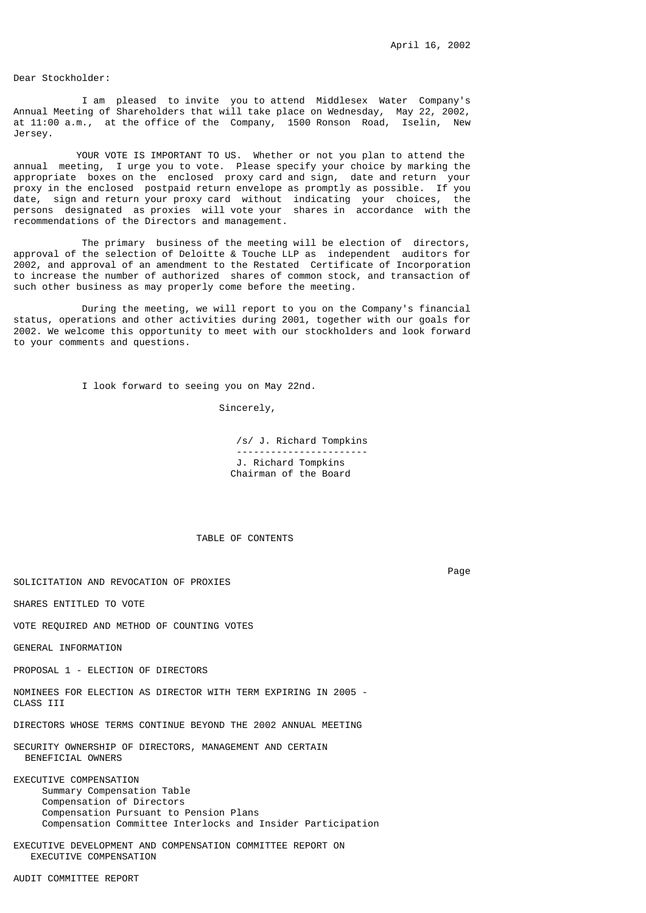Dear Stockholder:

 I am pleased to invite you to attend Middlesex Water Company's Annual Meeting of Shareholders that will take place on Wednesday, May 22, 2002, at 11:00 a.m., at the office of the Company, 1500 Ronson Road, Iselin, New Jersey.

YOUR VOTE IS IMPORTANT TO US. Whether or not you plan to attend the annual meeting, I urge you to vote. Please specify your choice by marking the appropriate boxes on the enclosed proxy card and sign, date and return your proxy in the enclosed postpaid return envelope as promptly as possible. If you date, sign and return your proxy card without indicating your choices, the persons designated as proxies will vote your shares in accordance with the recommendations of the Directors and management.

 The primary business of the meeting will be election of directors, approval of the selection of Deloitte & Touche LLP as independent auditors for 2002, and approval of an amendment to the Restated Certificate of Incorporation to increase the number of authorized shares of common stock, and transaction of such other business as may properly come before the meeting.

 During the meeting, we will report to you on the Company's financial status, operations and other activities during 2001, together with our goals for 2002. We welcome this opportunity to meet with our stockholders and look forward to your comments and questions.

I look forward to seeing you on May 22nd.

Sincerely,

 /s/ J. Richard Tompkins ----------------------- J. Richard Tompkins Chairman of the Board

TABLE OF CONTENTS

SOLICITATION AND REVOCATION OF PROXIES

SHARES ENTITLED TO VOTE

VOTE REQUIRED AND METHOD OF COUNTING VOTES

GENERAL INFORMATION

PROPOSAL 1 - ELECTION OF DIRECTORS

NOMINEES FOR ELECTION AS DIRECTOR WITH TERM EXPIRING IN 2005 - CLASS III

DIRECTORS WHOSE TERMS CONTINUE BEYOND THE 2002 ANNUAL MEETING

SECURITY OWNERSHIP OF DIRECTORS, MANAGEMENT AND CERTAIN BENEFICIAL OWNERS

EXECUTIVE COMPENSATION Summary Compensation Table Compensation of Directors Compensation Pursuant to Pension Plans Compensation Committee Interlocks and Insider Participation

EXECUTIVE DEVELOPMENT AND COMPENSATION COMMITTEE REPORT ON EXECUTIVE COMPENSATION

AUDIT COMMITTEE REPORT

Page in the contract of the contract of the contract of the contract of the contract of the contract of the contract of the contract of the contract of the contract of the contract of the contract of the contract of the co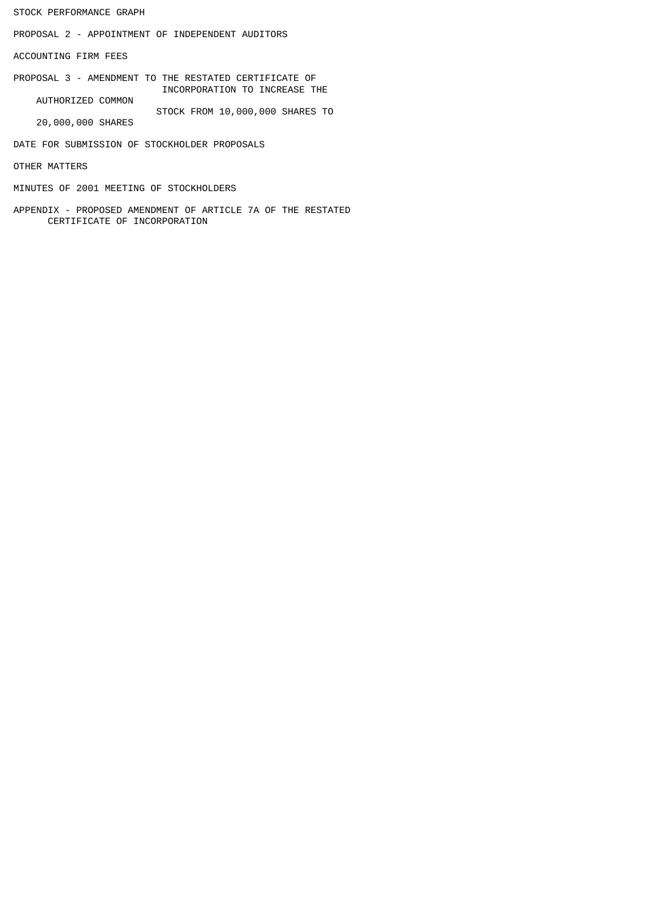STOCK PERFORMANCE GRAPH

PROPOSAL 2 - APPOINTMENT OF INDEPENDENT AUDITORS

ACCOUNTING FIRM FEES

PROPOSAL 3 - AMENDMENT TO THE RESTATED CERTIFICATE OF INCORPORATION TO INCREASE THE AUTHORIZED COMMON

STOCK FROM 10,000,000 SHARES TO

20,000,000 SHARES

DATE FOR SUBMISSION OF STOCKHOLDER PROPOSALS

OTHER MATTERS

MINUTES OF 2001 MEETING OF STOCKHOLDERS

APPENDIX - PROPOSED AMENDMENT OF ARTICLE 7A OF THE RESTATED CERTIFICATE OF INCORPORATION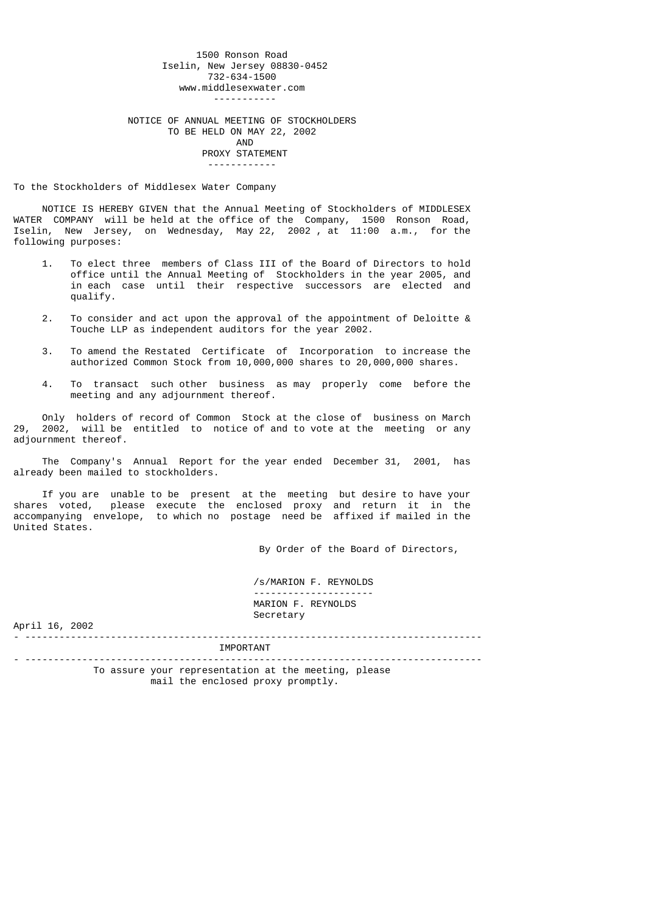1500 Ronson Road Iselin, New Jersey 08830-0452 732-634-1500 www.middlesexwater.com ----------- NOTICE OF ANNUAL MEETING OF STOCKHOLDERS TO BE HELD ON MAY 22, 2002 AND PROXY STATEMENT ------------

To the Stockholders of Middlesex Water Company

 NOTICE IS HEREBY GIVEN that the Annual Meeting of Stockholders of MIDDLESEX WATER COMPANY will be held at the office of the Company, 1500 Ronson Road, Iselin, New Jersey, on Wednesday, May 22, 2002 , at 11:00 a.m., for the following purposes:

- 1. To elect three members of Class III of the Board of Directors to hold office until the Annual Meeting of Stockholders in the year 2005, and in each case until their respective successors are elected and qualify.
- 2. To consider and act upon the approval of the appointment of Deloitte & Touche LLP as independent auditors for the year 2002.
- 3. To amend the Restated Certificate of Incorporation to increase the authorized Common Stock from 10,000,000 shares to 20,000,000 shares.
- 4. To transact such other business as may properly come before the meeting and any adjournment thereof.

 Only holders of record of Common Stock at the close of business on March 29, 2002, will be entitled to notice of and to vote at the meeting or any adjournment thereof.

 The Company's Annual Report for the year ended December 31, 2001, has already been mailed to stockholders.

 If you are unable to be present at the meeting but desire to have your shares voted, please execute the enclosed proxy and return it in the accompanying envelope, to which no postage need be affixed if mailed in the United States.

By Order of the Board of Directors,

 /s/MARION F. REYNOLDS --------------------- MARION F. REYNOLDS Secretary

April 16, 2002

- -------------------------------------------------------------------------------- IMPORTANT

- -------------------------------------------------------------------------------- To assure your representation at the meeting, please mail the enclosed proxy promptly.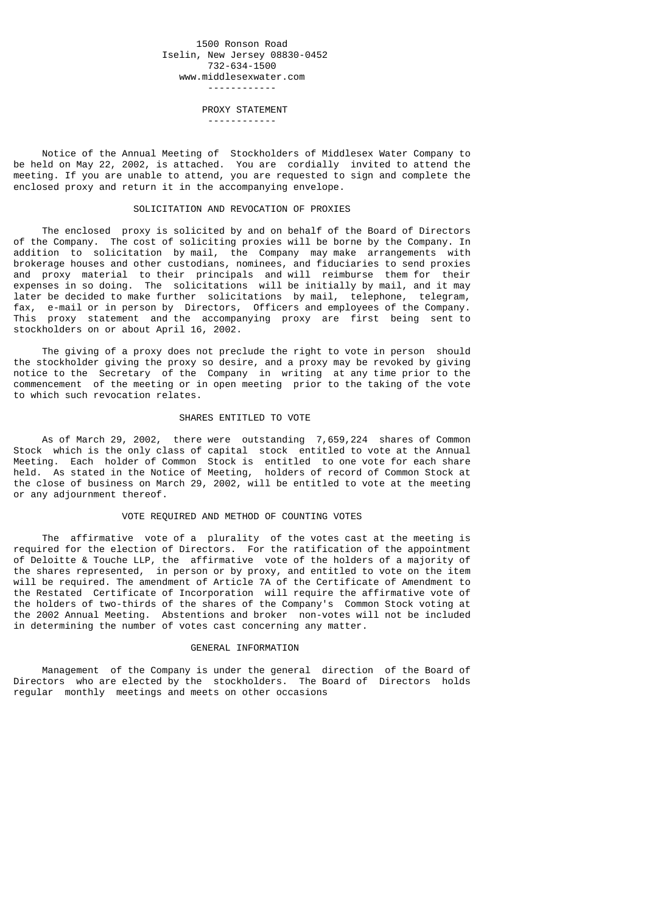### 1500 Ronson Road Iselin, New Jersey 08830-0452 732-634-1500 www.middlesexwater.com ------------

 PROXY STATEMENT ------------

 Notice of the Annual Meeting of Stockholders of Middlesex Water Company to be held on May 22, 2002, is attached. You are cordially invited to attend the meeting. If you are unable to attend, you are requested to sign and complete the enclosed proxy and return it in the accompanying envelope.

### SOLICITATION AND REVOCATION OF PROXIES

 The enclosed proxy is solicited by and on behalf of the Board of Directors of the Company. The cost of soliciting proxies will be borne by the Company. In addition to solicitation by mail, the Company may make arrangements with brokerage houses and other custodians, nominees, and fiduciaries to send proxies and proxy material to their principals and will reimburse them for their expenses in so doing. The solicitations will be initially by mail, and it may later be decided to make further solicitations by mail, telephone, telegram, fax, e-mail or in person by Directors, Officers and employees of the Company. This proxy statement and the accompanying proxy are first being sent to stockholders on or about April 16, 2002.

 The giving of a proxy does not preclude the right to vote in person should the stockholder giving the proxy so desire, and a proxy may be revoked by giving notice to the Secretary of the Company in writing at any time prior to the commencement of the meeting or in open meeting prior to the taking of the vote to which such revocation relates.

### SHARES ENTITLED TO VOTE

 As of March 29, 2002, there were outstanding 7,659,224 shares of Common Stock which is the only class of capital stock entitled to vote at the Annual Meeting. Each holder of Common Stock is entitled to one vote for each share held. As stated in the Notice of Meeting, holders of record of Common Stock at the close of business on March 29, 2002, will be entitled to vote at the meeting or any adjournment thereof.

### VOTE REQUIRED AND METHOD OF COUNTING VOTES

 The affirmative vote of a plurality of the votes cast at the meeting is required for the election of Directors. For the ratification of the appointment of Deloitte & Touche LLP, the affirmative vote of the holders of a majority of the shares represented, in person or by proxy, and entitled to vote on the item will be required. The amendment of Article 7A of the Certificate of Amendment to the Restated Certificate of Incorporation will require the affirmative vote of the holders of two-thirds of the shares of the Company's Common Stock voting at the 2002 Annual Meeting. Abstentions and broker non-votes will not be included in determining the number of votes cast concerning any matter.

#### GENERAL INFORMATION

 Management of the Company is under the general direction of the Board of Directors who are elected by the stockholders. The Board of Directors holds regular monthly meetings and meets on other occasions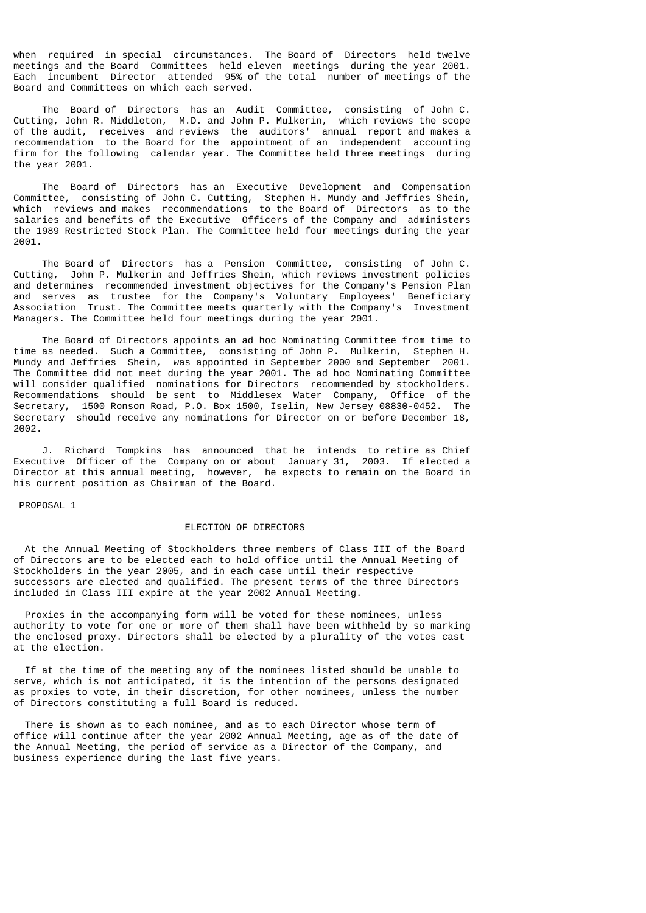when required in special circumstances. The Board of Directors held twelve meetings and the Board Committees held eleven meetings during the year 2001. Each incumbent Director attended 95% of the total number of meetings of the Board and Committees on which each served.

 The Board of Directors has an Audit Committee, consisting of John C. Cutting, John R. Middleton, M.D. and John P. Mulkerin, which reviews the scope of the audit, receives and reviews the auditors' annual report and makes a recommendation to the Board for the appointment of an independent accounting firm for the following calendar year. The Committee held three meetings during the year 2001.

 The Board of Directors has an Executive Development and Compensation Committee, consisting of John C. Cutting, Stephen H. Mundy and Jeffries Shein, which reviews and makes recommendations to the Board of Directors as to the salaries and benefits of the Executive Officers of the Company and administers the 1989 Restricted Stock Plan. The Committee held four meetings during the year 2001.

 The Board of Directors has a Pension Committee, consisting of John C. Cutting, John P. Mulkerin and Jeffries Shein, which reviews investment policies and determines recommended investment objectives for the Company's Pension Plan and serves as trustee for the Company's Voluntary Employees' Beneficiary Association Trust. The Committee meets quarterly with the Company's Investment Managers. The Committee held four meetings during the year 2001.

 The Board of Directors appoints an ad hoc Nominating Committee from time to time as needed. Such a Committee, consisting of John P. Mulkerin, Stephen H. Mundy and Jeffries Shein, was appointed in September 2000 and September 2001. The Committee did not meet during the year 2001. The ad hoc Nominating Committee will consider qualified nominations for Directors recommended by stockholders. Recommendations should be sent to Middlesex Water Company, Office of the Secretary, 1500 Ronson Road, P.O. Box 1500, Iselin, New Jersey 08830-0452. The Secretary should receive any nominations for Director on or before December 18, 2002.

 J. Richard Tompkins has announced that he intends to retire as Chief Executive Officer of the Company on or about January 31, 2003. If elected a Director at this annual meeting, however, he expects to remain on the Board in his current position as Chairman of the Board.

PROPOSAL 1

## ELECTION OF DIRECTORS

 At the Annual Meeting of Stockholders three members of Class III of the Board of Directors are to be elected each to hold office until the Annual Meeting of Stockholders in the year 2005, and in each case until their respective successors are elected and qualified. The present terms of the three Directors included in Class III expire at the year 2002 Annual Meeting.

 Proxies in the accompanying form will be voted for these nominees, unless authority to vote for one or more of them shall have been withheld by so marking the enclosed proxy. Directors shall be elected by a plurality of the votes cast at the election.

 If at the time of the meeting any of the nominees listed should be unable to serve, which is not anticipated, it is the intention of the persons designated as proxies to vote, in their discretion, for other nominees, unless the number of Directors constituting a full Board is reduced.

 There is shown as to each nominee, and as to each Director whose term of office will continue after the year 2002 Annual Meeting, age as of the date of the Annual Meeting, the period of service as a Director of the Company, and business experience during the last five years.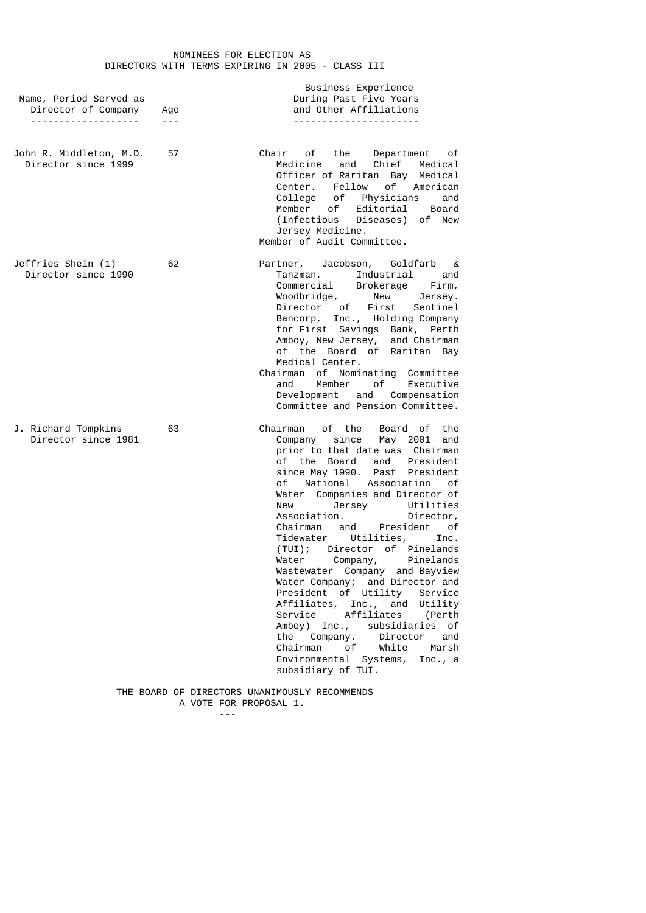### NOMINEES FOR ELECTION AS DIRECTORS WITH TERMS EXPIRING IN 2005 - CLASS III

|                        |     | Business Experience                 |
|------------------------|-----|-------------------------------------|
| Name, Period Served as |     | During Past Five Years              |
| Director of Company    | Age | and Other Affiliations              |
|                        |     | - - - - - - - - - - - - - - - - - - |

- John R. Middleton, M.D. 57 Chair of the Department of Director since 1999 Medicine and Chief Medical Officer of Raritan Bay Medical Center. Fellow of American College of Physicians and Member of Editorial Board (Infectious Diseases) of New Jersey Medicine. Member of Audit Committee.
- Jeffries Shein (1) 62 Partner, Jacobson, Goldfarb & Director since 1990 Tanzman, Industrial and Commercial Brokerage Firm, Woodbridge, New Jersey. Director of First Sentinel Bancorp, Inc., Holding Company for First Savings Bank, Perth Amboy, New Jersey, and Chairman of the Board of Raritan Bay Medical Center. Chairman of Nominating Committee and Member of Executive Development and Compensation

Committee and Pension Committee.

- J. Richard Tompkins 63 Chairman of the Board of the Director since 1981 Company since May 2001 and prior to that date was Chairman of the Board and President since May 1990. Past President of National Association of Water Companies and Director of<br>New Jersey Utilities New York Prince Companies and Contraction<br>ation. Director, Association. Director, Chairman and President of Tidewater Utilities, Inc. (TUI); Director of Pinelands Water Company, Pinelands Wastewater Company and Bayview Water Company; and Director and President of Utility Service Affiliates, Inc., and Utility Service Affiliates (Perth Amboy) Inc., subsidiaries of the Company. Director and Chairman of White Marsh Environmental Systems, Inc., a subsidiary of TUI.
	- THE BOARD OF DIRECTORS UNANIMOUSLY RECOMMENDS A VOTE FOR PROPOSAL 1.

---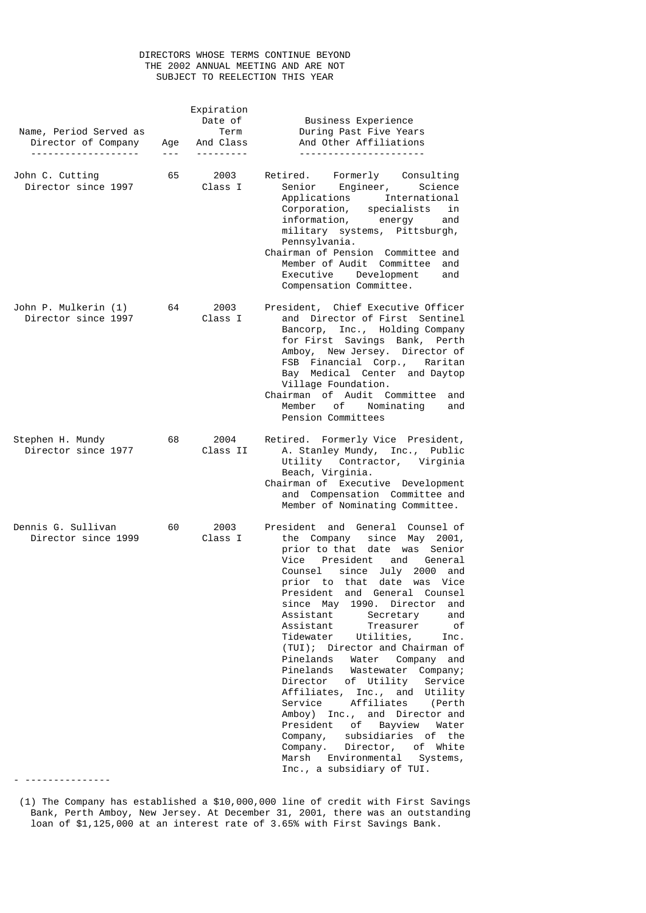# DIRECTORS WHOSE TERMS CONTINUE BEYOND THE 2002 ANNUAL MEETING AND ARE NOT SUBJECT TO REELECTION THIS YEAR

| Name, Period Served as<br>Director of Company<br>------------------- | Age<br>$- - -$ | Expiration<br>Date of<br>Term<br>And Class | Business Experience<br>During Past Five Years<br>And Other Affiliations                                                                                                                                                                                                                                                                                                                                                                                                                                                                                                                                                                                                                                                                                                                                                                                 |
|----------------------------------------------------------------------|----------------|--------------------------------------------|---------------------------------------------------------------------------------------------------------------------------------------------------------------------------------------------------------------------------------------------------------------------------------------------------------------------------------------------------------------------------------------------------------------------------------------------------------------------------------------------------------------------------------------------------------------------------------------------------------------------------------------------------------------------------------------------------------------------------------------------------------------------------------------------------------------------------------------------------------|
| John C. Cutting<br>Director since 1997                               | 65             | 2003<br>Class I                            | Retired. Formerly Consulting<br>Senior Engineer, Science<br>Applications International<br>Corporation,<br>specialists<br>in<br>information, energy<br>and<br>military systems, Pittsburgh,<br>Pennsylvania.<br>Chairman of Pension Committee and<br>Member of Audit Committee<br>and<br>Executive Development<br>and<br>Compensation Committee.                                                                                                                                                                                                                                                                                                                                                                                                                                                                                                         |
| John P. Mulkerin (1)<br>Director since 1997                          | 64             | 2003<br>Class I                            | President, Chief Executive Officer<br>and Director of First Sentinel<br>Bancorp, Inc., Holding Company<br>for First Savings Bank, Perth<br>Amboy, New Jersey. Director of<br>FSB Financial Corp., Raritan<br>Bay Medical Center and Daytop<br>Village Foundation.<br>Chairman of Audit Committee<br>and<br>Member of Nominating<br>and<br>Pension Committees                                                                                                                                                                                                                                                                                                                                                                                                                                                                                            |
| Stephen H. Mundy<br>Director since 1977                              | 68             | 2004<br>Class II                           | Retired. Formerly Vice President,<br>A. Stanley Mundy, Inc., Public<br>Utility Contractor, Virginia<br>Beach, Virginia.<br>Chairman of Executive Development<br>and Compensation Committee and<br>Member of Nominating Committee.                                                                                                                                                                                                                                                                                                                                                                                                                                                                                                                                                                                                                       |
| Dennis G. Sullivan<br>Director since 1999                            | 60             | 2003<br>Class I                            | President<br>and General<br>Counsel of<br>the Company<br>since<br>May 2001,<br>prior to that date was Senior<br>Vice<br>President<br>and<br>General<br>since July<br>Counsel<br>2000<br>and<br>prior to that<br>date<br>was Vice<br>President<br>and General Counsel<br>since<br>May<br>1990.<br>Director<br>and<br>Assistant<br>Secretary<br>and<br>Assistant<br>оf<br>Treasurer<br>Tidewater<br>Utilities,<br>Inc.<br>(TUI); Director and Chairman of<br>Pinelands<br>Water<br>Company and<br>Pinelands<br>Wastewater Company;<br>Director<br>of Utility<br>Service<br>Affiliates, Inc., and<br>Utility<br>Affiliates<br>Service<br>(Perth<br>Amboy) Inc., and Director and<br>President<br>of Bayview Water<br>Company,<br>subsidiaries of the<br>Director, of White<br>Company.<br>Environmental<br>Marsh<br>Systems,<br>Inc., a subsidiary of TUI. |
|                                                                      |                |                                            |                                                                                                                                                                                                                                                                                                                                                                                                                                                                                                                                                                                                                                                                                                                                                                                                                                                         |

 <sup>(1)</sup> The Company has established a \$10,000,000 line of credit with First Savings Bank, Perth Amboy, New Jersey. At December 31, 2001, there was an outstanding loan of \$1,125,000 at an interest rate of 3.65% with First Savings Bank.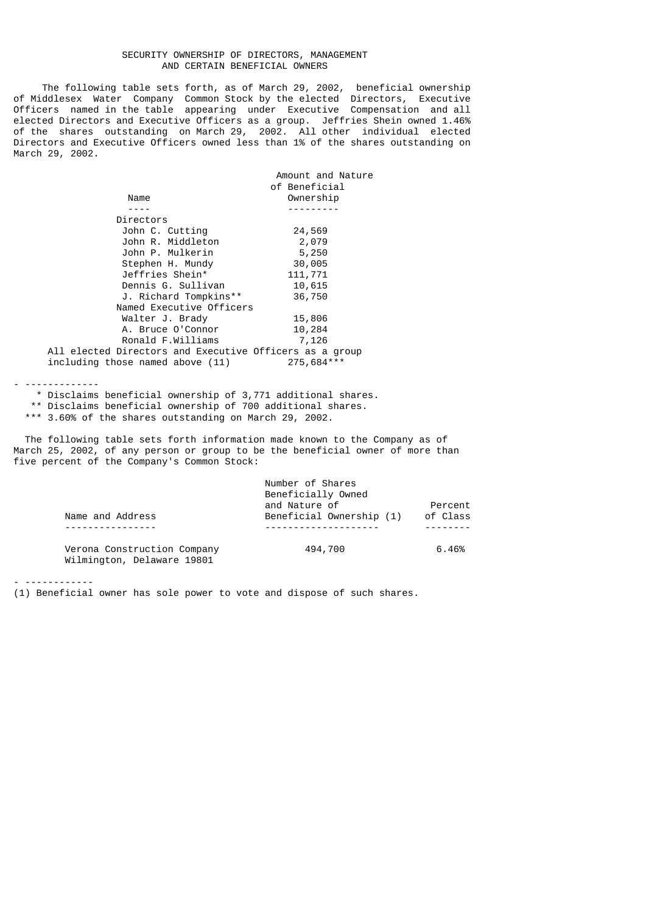## SECURITY OWNERSHIP OF DIRECTORS, MANAGEMENT AND CERTAIN BENEFICIAL OWNERS

 The following table sets forth, as of March 29, 2002, beneficial ownership of Middlesex Water Company Common Stock by the elected Directors, Executive Officers named in the table appearing under Executive Compensation and all elected Directors and Executive Officers as a group. Jeffries Shein owned 1.46% of the shares outstanding on March 29, 2002. All other individual elected Directors and Executive Officers owned less than 1% of the shares outstanding on March 29, 2002.

|                                                         | Amount and Nature |
|---------------------------------------------------------|-------------------|
|                                                         | of Beneficial     |
| Name                                                    | Ownership         |
|                                                         |                   |
| Directors                                               |                   |
| John C. Cutting                                         | 24,569            |
| John R. Middleton                                       | 2,079             |
| John P. Mulkerin                                        | 5,250             |
| Stephen H. Mundy                                        | 30,005            |
| Jeffries Shein*                                         | 111,771           |
| Dennis G. Sullivan                                      | 10,615            |
| J. Richard Tompkins**                                   | 36,750            |
| Named Executive Officers                                |                   |
| Walter J. Brady                                         | 15,806            |
| A. Bruce O'Connor                                       | 10,284            |
| Ronald F.Williams                                       | 7,126             |
| All elected Directors and Executive Officers as a group |                   |
| including those named above (11)                        | 275,684***        |
|                                                         |                   |

- -------------

 \* Disclaims beneficial ownership of 3,771 additional shares. \*\* Disclaims beneficial ownership of 700 additional shares.

\*\*\* 3.60% of the shares outstanding on March 29, 2002.

 The following table sets forth information made known to the Company as of March 25, 2002, of any person or group to be the beneficial owner of more than five percent of the Company's Common Stock:

|                                                           | Number of Shares<br>Beneficially Owned |          |
|-----------------------------------------------------------|----------------------------------------|----------|
|                                                           | and Nature of                          | Percent  |
| Name and Address                                          | Beneficial Ownership (1)               | of Class |
|                                                           |                                        |          |
| Verona Construction Company<br>Wilmington, Delaware 19801 | 494,700                                | 6.46%    |

- ------------

(1) Beneficial owner has sole power to vote and dispose of such shares.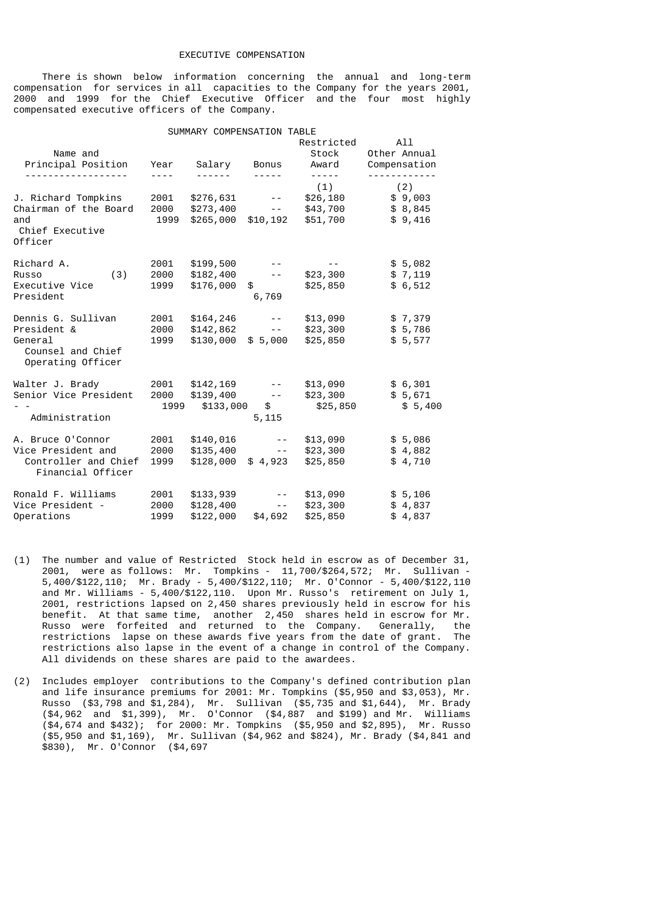## EXECUTIVE COMPENSATION

 There is shown below information concerning the annual and long-term compensation for services in all capacities to the Company for the years 2001, 2000 and 1999 for the Chief Executive Officer and the four most highly compensated executive officers of the Company.

|                                                                                        |                      | SUMMARY COMPENSATION TABLE          |                                                   |                                                      |                                      |
|----------------------------------------------------------------------------------------|----------------------|-------------------------------------|---------------------------------------------------|------------------------------------------------------|--------------------------------------|
| Name and<br>Principal Position                                                         | Year                 | Salary                              | <b>Bonus</b>                                      | Restricted<br>Stock<br>Award                         | All<br>Other Annual<br>Compensation  |
| J. Richard Tompkins<br>Chairman of the Board<br>and<br>Chief Executive                 | 2001<br>2000<br>1999 | \$276,631<br>\$273,400<br>\$265,000 | $- - - -$<br>$- -$<br>$- -$<br>\$10, 192          | - - - - -<br>(1)<br>\$26,180<br>\$43,700<br>\$51,700 | (2)<br>\$9,003<br>\$8,845<br>\$9,416 |
| Officer<br>Richard A.<br>(3)<br>Russo<br>Executive Vice<br>President                   | 2001<br>2000<br>1999 | \$199,500<br>\$182,400<br>\$176,000 | $- -$<br>\$<br>6,769                              | \$23,300<br>\$25,850                                 | \$5,082<br>\$7,119<br>\$6,512        |
| Dennis G. Sullivan<br>President &<br>General<br>Counsel and Chief<br>Operating Officer | 2001<br>2000<br>1999 | \$164,246<br>\$142,862<br>\$130,000 | $- -$<br>$- -$<br>\$5,000                         | \$13,090<br>\$23,300<br>\$25,850                     | \$7,379<br>\$5,786<br>\$5,577        |
| Walter J. Brady<br>Senior Vice President<br>Administration                             | 2001<br>2000<br>1999 | \$142,169<br>\$139,400<br>\$133,000 | $\sim$ $-$<br>$\sim$ $-$<br>$\mathsf{s}$<br>5,115 | \$13,090<br>\$23,300<br>\$25,850                     | \$6,301<br>\$5,671<br>\$5,400        |
| A. Bruce O'Connor<br>Vice President and<br>Controller and Chief<br>Financial Officer   | 2001<br>2000<br>1999 | \$140,016<br>\$135,400<br>\$128,000 | $\sim$ $-$<br>$\sim$ $-$<br>\$4,923               | \$13,090<br>\$23,300<br>\$25,850                     | \$5,086<br>\$4,882<br>\$4,710        |
| Ronald F. Williams<br>Vice President -<br>Operations                                   | 2001<br>2000<br>1999 | \$133,939<br>\$128,400<br>\$122,000 | $- -$<br>$ -$<br>\$4,692                          | \$13,090<br>\$23,300<br>\$25,850                     | \$5,106<br>\$4,837<br>\$4,837        |

- (1) The number and value of Restricted Stock held in escrow as of December 31, 2001, were as follows: Mr. Tompkins - 11,700/\$264,572; Mr. Sullivan - 5,400/\$122,110; Mr. Brady - 5,400/\$122,110; Mr. O'Connor - 5,400/\$122,110 and Mr. Williams - 5,400/\$122,110. Upon Mr. Russo's retirement on July 1, 2001, restrictions lapsed on 2,450 shares previously held in escrow for his benefit. At that same time, another 2,450 shares held in escrow for Mr. Russo were forfeited and returned to the Company. Generally, the restrictions lapse on these awards five years from the date of grant. The restrictions also lapse in the event of a change in control of the Company. All dividends on these shares are paid to the awardees.
- (2) Includes employer contributions to the Company's defined contribution plan and life insurance premiums for 2001: Mr. Tompkins (\$5,950 and \$3,053), Mr. Russo (\$3,798 and \$1,284), Mr. Sullivan (\$5,735 and \$1,644), Mr. Brady (\$4,962 and \$1,399), Mr. O'Connor (\$4,887 and \$199) and Mr. Williams (\$4,674 and \$432); for 2000: Mr. Tompkins (\$5,950 and \$2,895), Mr. Russo (\$5,950 and \$1,169), Mr. Sullivan (\$4,962 and \$824), Mr. Brady (\$4,841 and \$830), Mr. O'Connor (\$4,697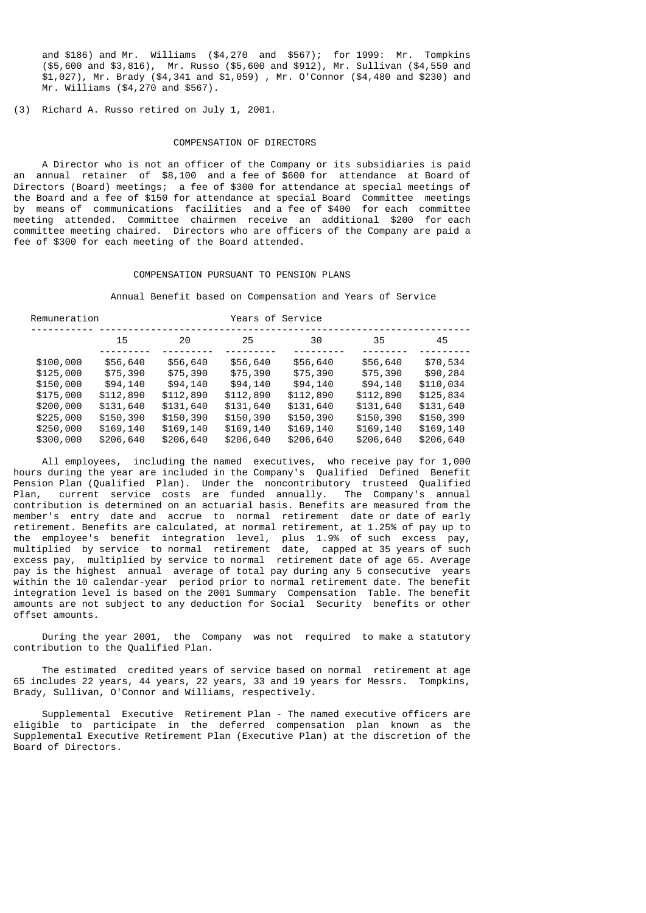and \$186) and Mr. Williams (\$4,270 and \$567); for 1999: Mr. Tompkins (\$5,600 and \$3,816), Mr. Russo (\$5,600 and \$912), Mr. Sullivan (\$4,550 and \$1,027), Mr. Brady (\$4,341 and \$1,059) , Mr. O'Connor (\$4,480 and \$230) and Mr. Williams (\$4,270 and \$567).

(3) Richard A. Russo retired on July 1, 2001.

#### COMPENSATION OF DIRECTORS

 A Director who is not an officer of the Company or its subsidiaries is paid an annual retainer of \$8,100 and a fee of \$600 for attendance at Board of Directors (Board) meetings; a fee of \$300 for attendance at special meetings of the Board and a fee of \$150 for attendance at special Board Committee meetings by means of communications facilities and a fee of \$400 for each committee meeting attended. Committee chairmen receive an additional \$200 for each committee meeting chaired. Directors who are officers of the Company are paid a fee of \$300 for each meeting of the Board attended.

#### COMPENSATION PURSUANT TO PENSION PLANS

Annual Benefit based on Compensation and Years of Service

| Remuneration |           |           | Years of Service |           |           |           |  |  |
|--------------|-----------|-----------|------------------|-----------|-----------|-----------|--|--|
|              | 15        | 20        | 25               | 30        | 35        | 45        |  |  |
| \$100,000    | \$56,640  | \$56,640  | \$56,640         | \$56,640  | \$56,640  | \$70,534  |  |  |
| \$125,000    | \$75,390  | \$75,390  | \$75,390         | \$75,390  | \$75,390  | \$90,284  |  |  |
| \$150,000    | \$94,140  | \$94,140  | \$94,140         | \$94,140  | \$94,140  | \$110,034 |  |  |
| \$175,000    | \$112,890 | \$112,890 | \$112,890        | \$112,890 | \$112,890 | \$125,834 |  |  |
| \$200,000    | \$131,640 | \$131,640 | \$131,640        | \$131,640 | \$131,640 | \$131,640 |  |  |
| \$225,000    | \$150,390 | \$150,390 | \$150,390        | \$150,390 | \$150,390 | \$150,390 |  |  |
| \$250,000    | \$169,140 | \$169,140 | \$169,140        | \$169,140 | \$169,140 | \$169,140 |  |  |
| \$300,000    | \$206,640 | \$206,640 | \$206,640        | \$206,640 | \$206,640 | \$206,640 |  |  |

 All employees, including the named executives, who receive pay for 1,000 hours during the year are included in the Company's Qualified Defined Benefit Pension Plan (Qualified Plan). Under the noncontributory trusteed Qualified Plan, current service costs are funded annually. The Company's annual contribution is determined on an actuarial basis. Benefits are measured from the member's entry date and accrue to normal retirement date or date of early retirement. Benefits are calculated, at normal retirement, at 1.25% of pay up to the employee's benefit integration level, plus 1.9% of such excess pay, multiplied by service to normal retirement date, capped at 35 years of such excess pay, multiplied by service to normal retirement date of age 65. Average pay is the highest annual average of total pay during any 5 consecutive years within the 10 calendar-year period prior to normal retirement date. The benefit integration level is based on the 2001 Summary Compensation Table. The benefit amounts are not subject to any deduction for Social Security benefits or other offset amounts.

 During the year 2001, the Company was not required to make a statutory contribution to the Qualified Plan.

 The estimated credited years of service based on normal retirement at age 65 includes 22 years, 44 years, 22 years, 33 and 19 years for Messrs. Tompkins, Brady, Sullivan, O'Connor and Williams, respectively.

 Supplemental Executive Retirement Plan - The named executive officers are eligible to participate in the deferred compensation plan known as the Supplemental Executive Retirement Plan (Executive Plan) at the discretion of the Board of Directors.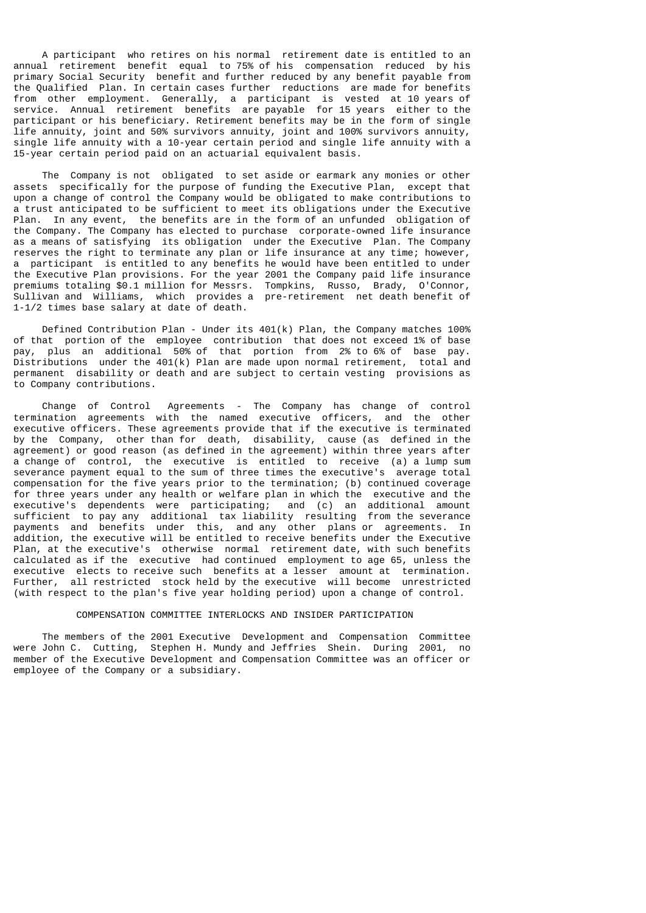A participant who retires on his normal retirement date is entitled to an annual retirement benefit equal to 75% of his compensation reduced by his primary Social Security benefit and further reduced by any benefit payable from the Qualified Plan. In certain cases further reductions are made for benefits from other employment. Generally, a participant is vested at 10 years of service. Annual retirement benefits are payable for 15 years either to the participant or his beneficiary. Retirement benefits may be in the form of single life annuity, joint and 50% survivors annuity, joint and 100% survivors annuity, single life annuity with a 10-year certain period and single life annuity with a 15-year certain period paid on an actuarial equivalent basis.

 The Company is not obligated to set aside or earmark any monies or other assets specifically for the purpose of funding the Executive Plan, except that upon a change of control the Company would be obligated to make contributions to a trust anticipated to be sufficient to meet its obligations under the Executive Plan. In any event, the benefits are in the form of an unfunded obligation of the Company. The Company has elected to purchase corporate-owned life insurance as a means of satisfying its obligation under the Executive Plan. The Company reserves the right to terminate any plan or life insurance at any time; however, a participant is entitled to any benefits he would have been entitled to under the Executive Plan provisions. For the year 2001 the Company paid life insurance premiums totaling \$0.1 million for Messrs. Tompkins, Russo, Brady, O'Connor, Sullivan and Williams, which provides a pre-retirement net death benefit of 1-1/2 times base salary at date of death.

 Defined Contribution Plan - Under its 401(k) Plan, the Company matches 100% of that portion of the employee contribution that does not exceed 1% of base pay, plus an additional 50% of that portion from 2% to 6% of base pay. Distributions under the 401(k) Plan are made upon normal retirement, total and permanent disability or death and are subject to certain vesting provisions as to Company contributions.

 Change of Control Agreements - The Company has change of control termination agreements with the named executive officers, and the other executive officers. These agreements provide that if the executive is terminated by the Company, other than for death, disability, cause (as defined in the agreement) or good reason (as defined in the agreement) within three years after a change of control, the executive is entitled to receive (a) a lump sum severance payment equal to the sum of three times the executive's average total compensation for the five years prior to the termination; (b) continued coverage for three years under any health or welfare plan in which the executive and the executive's dependents were participating; and (c) an additional amount sufficient to pay any additional tax liability resulting from the severance payments and benefits under this, and any other plans or agreements. In addition, the executive will be entitled to receive benefits under the Executive Plan, at the executive's otherwise normal retirement date, with such benefits calculated as if the executive had continued employment to age 65, unless the executive elects to receive such benefits at a lesser amount at termination. Further, all restricted stock held by the executive will become unrestricted (with respect to the plan's five year holding period) upon a change of control.

## COMPENSATION COMMITTEE INTERLOCKS AND INSIDER PARTICIPATION

 The members of the 2001 Executive Development and Compensation Committee were John C. Cutting, Stephen H. Mundy and Jeffries Shein. During 2001, no member of the Executive Development and Compensation Committee was an officer or employee of the Company or a subsidiary.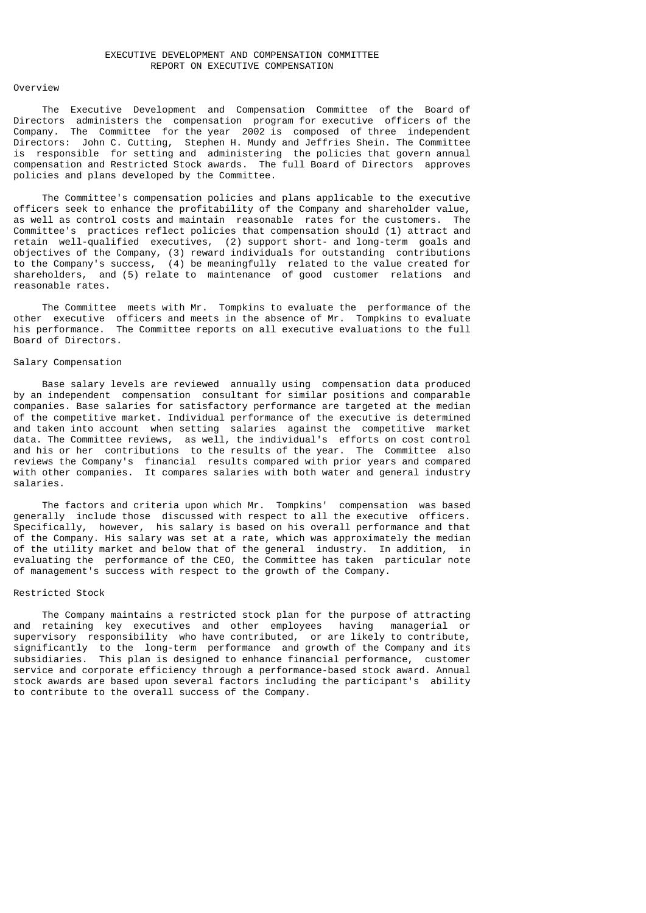#### Overview

 The Executive Development and Compensation Committee of the Board of Directors administers the compensation program for executive officers of the Company. The Committee for the year 2002 is composed of three independent Directors: John C. Cutting, Stephen H. Mundy and Jeffries Shein. The Committee is responsible for setting and administering the policies that govern annual compensation and Restricted Stock awards. The full Board of Directors approves policies and plans developed by the Committee.

 The Committee's compensation policies and plans applicable to the executive officers seek to enhance the profitability of the Company and shareholder value, as well as control costs and maintain reasonable rates for the customers. The Committee's practices reflect policies that compensation should (1) attract and retain well-qualified executives, (2) support short- and long-term goals and objectives of the Company, (3) reward individuals for outstanding contributions to the Company's success, (4) be meaningfully related to the value created for shareholders, and (5) relate to maintenance of good customer relations and reasonable rates.

 The Committee meets with Mr. Tompkins to evaluate the performance of the other executive officers and meets in the absence of Mr. Tompkins to evaluate his performance. The Committee reports on all executive evaluations to the full Board of Directors.

### Salary Compensation

 Base salary levels are reviewed annually using compensation data produced by an independent compensation consultant for similar positions and comparable companies. Base salaries for satisfactory performance are targeted at the median of the competitive market. Individual performance of the executive is determined and taken into account when setting salaries against the competitive market data. The Committee reviews, as well, the individual's efforts on cost control and his or her contributions to the results of the year. The Committee also reviews the Company's financial results compared with prior years and compared with other companies. It compares salaries with both water and general industry salaries.

 The factors and criteria upon which Mr. Tompkins' compensation was based generally include those discussed with respect to all the executive officers. Specifically, however, his salary is based on his overall performance and that of the Company. His salary was set at a rate, which was approximately the median of the utility market and below that of the general industry. In addition, in evaluating the performance of the CEO, the Committee has taken particular note of management's success with respect to the growth of the Company.

### Restricted Stock

 The Company maintains a restricted stock plan for the purpose of attracting and retaining key executives and other employees having managerial or supervisory responsibility who have contributed, or are likely to contribute, significantly to the long-term performance and growth of the Company and its subsidiaries. This plan is designed to enhance financial performance, customer service and corporate efficiency through a performance-based stock award. Annual stock awards are based upon several factors including the participant's ability to contribute to the overall success of the Company.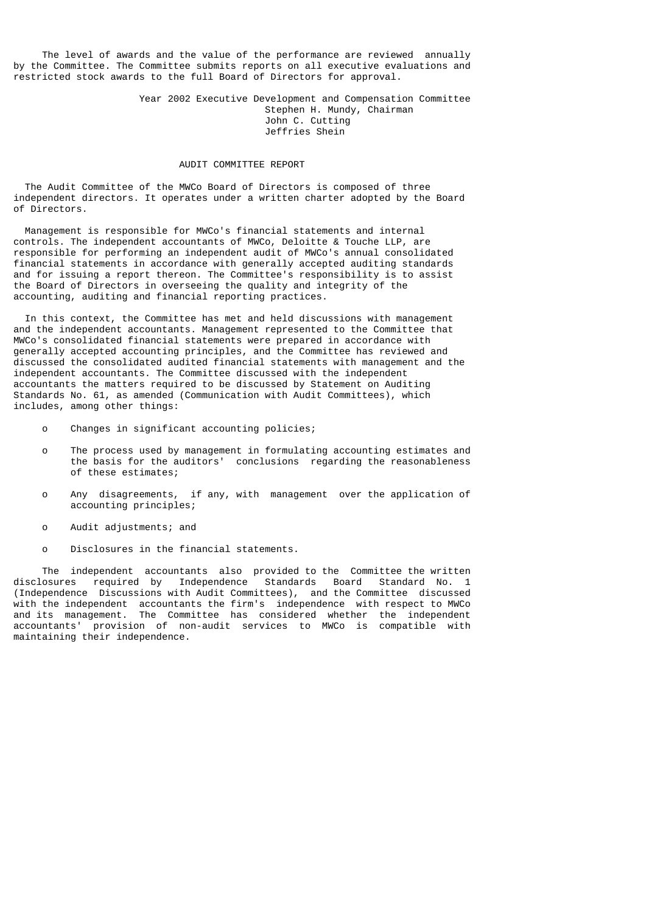The level of awards and the value of the performance are reviewed annually by the Committee. The Committee submits reports on all executive evaluations and restricted stock awards to the full Board of Directors for approval.

> Year 2002 Executive Development and Compensation Committee Stephen H. Mundy, Chairman John C. Cutting Jeffries Shein

### AUDIT COMMITTEE REPORT

 The Audit Committee of the MWCo Board of Directors is composed of three independent directors. It operates under a written charter adopted by the Board of Directors.

 Management is responsible for MWCo's financial statements and internal controls. The independent accountants of MWCo, Deloitte & Touche LLP, are responsible for performing an independent audit of MWCo's annual consolidated financial statements in accordance with generally accepted auditing standards and for issuing a report thereon. The Committee's responsibility is to assist the Board of Directors in overseeing the quality and integrity of the accounting, auditing and financial reporting practices.

 In this context, the Committee has met and held discussions with management and the independent accountants. Management represented to the Committee that MWCo's consolidated financial statements were prepared in accordance with generally accepted accounting principles, and the Committee has reviewed and discussed the consolidated audited financial statements with management and the independent accountants. The Committee discussed with the independent accountants the matters required to be discussed by Statement on Auditing Standards No. 61, as amended (Communication with Audit Committees), which includes, among other things:

- o Changes in significant accounting policies;
- o The process used by management in formulating accounting estimates and the basis for the auditors' conclusions regarding the reasonableness of these estimates;
- o Any disagreements, if any, with management over the application of accounting principles;
- o Audit adjustments; and
- o Disclosures in the financial statements.

The independent accountants also provided to the Committee the written<br>Losures required by Independence Standards Board Standard No. 1 disclosures required by Independence Standards Board (Independence Discussions with Audit Committees), and the Committee discussed with the independent accountants the firm's independence with respect to MWCo and its management. The Committee has considered whether the independent accountants' provision of non-audit services to MWCo is compatible with maintaining their independence.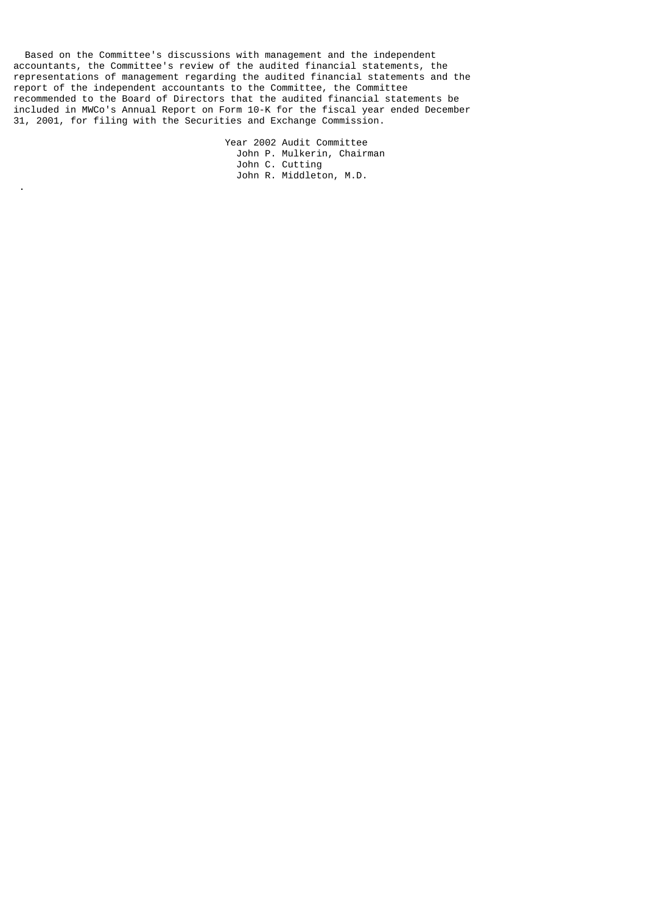Based on the Committee's discussions with management and the independent accountants, the Committee's review of the audited financial statements, the representations of management regarding the audited financial statements and the report of the independent accountants to the Committee, the Committee recommended to the Board of Directors that the audited financial statements be included in MWCo's Annual Report on Form 10-K for the fiscal year ended December 31, 2001, for filing with the Securities and Exchange Commission.

.

 Year 2002 Audit Committee John P. Mulkerin, Chairman John C. Cutting John R. Middleton, M.D.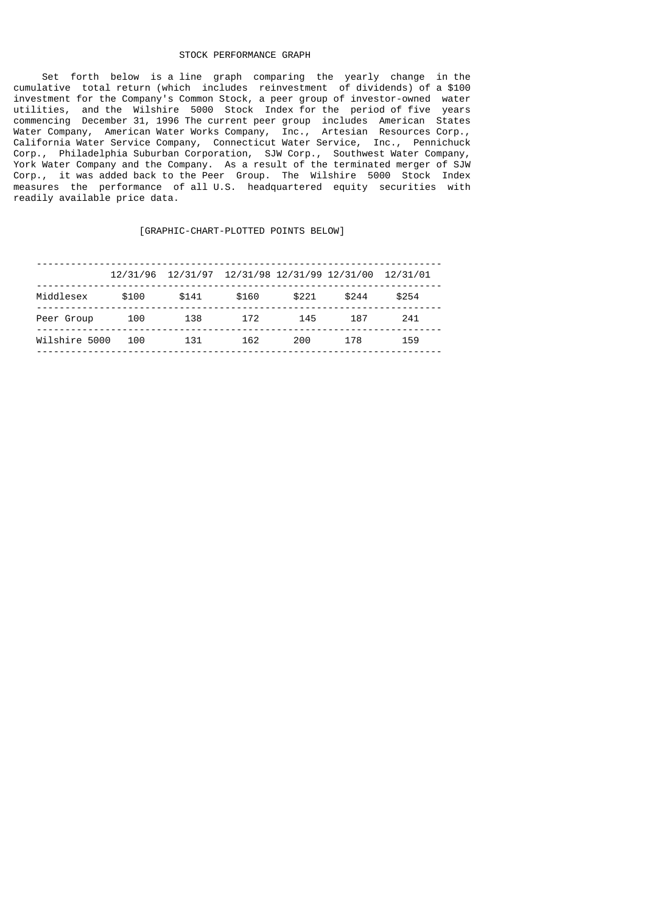# STOCK PERFORMANCE GRAPH

 Set forth below is a line graph comparing the yearly change in the cumulative total return (which includes reinvestment of dividends) of a \$100 investment for the Company's Common Stock, a peer group of investor-owned water utilities, and the Wilshire 5000 Stock Index for the period of five years commencing December 31, 1996 The current peer group includes American States Water Company, American Water Works Company, Inc., Artesian Resources Corp., California Water Service Company, Connecticut Water Service, Inc., Pennichuck Corp., Philadelphia Suburban Corporation, SJW Corp., Southwest Water Company, York Water Company and the Company. As a result of the terminated merger of SJW Corp., it was added back to the Peer Group. The Wilshire 5000 Stock Index measures the performance of all U.S. headquartered equity securities with readily available price data.

### [GRAPHIC-CHART-PLOTTED POINTS BELOW]

|               |       | 12/31/96 12/31/97 12/31/98 12/31/99 12/31/00 12/31/01 |       |       |       |       |
|---------------|-------|-------------------------------------------------------|-------|-------|-------|-------|
| Middlesex     | \$100 | \$141                                                 | \$160 | \$221 | \$244 | \$254 |
| Peer Group    | 100   | 138                                                   | 172   | 145   | 187   | 241   |
| Wilshire 5000 | 100   | 131                                                   | 162   | 200.  | 178   | 159   |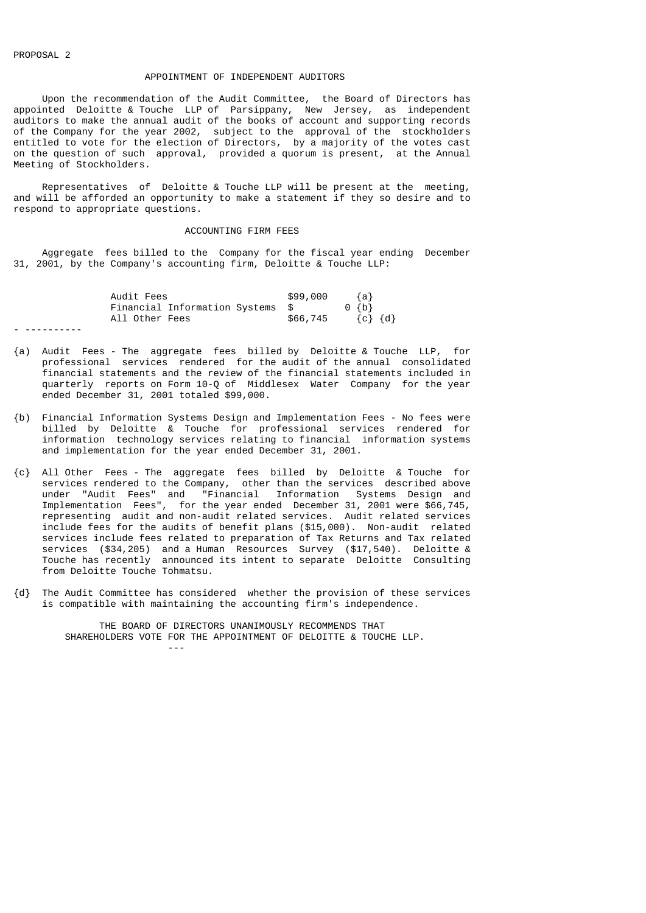# APPOINTMENT OF INDEPENDENT AUDITORS

 Upon the recommendation of the Audit Committee, the Board of Directors has appointed Deloitte & Touche LLP of Parsippany, New Jersey, as independent auditors to make the annual audit of the books of account and supporting records of the Company for the year 2002, subject to the approval of the stockholders entitled to vote for the election of Directors, by a majority of the votes cast on the question of such approval, provided a quorum is present, at the Annual Meeting of Stockholders.

 Representatives of Deloitte & Touche LLP will be present at the meeting, and will be afforded an opportunity to make a statement if they so desire and to respond to appropriate questions.

### ACCOUNTING FIRM FEES

 Aggregate fees billed to the Company for the fiscal year ending December 31, 2001, by the Company's accounting firm, Deloitte & Touche LLP:

| Audit Fees     |                                  |  | \$99,000 |           | ${a}$           |  |
|----------------|----------------------------------|--|----------|-----------|-----------------|--|
|                | Financial Information Systems \$ |  |          | $0 \{b\}$ |                 |  |
| All Other Fees |                                  |  | \$66,745 |           | $\{c\}$ $\{d\}$ |  |
|                |                                  |  |          |           |                 |  |

- {a) Audit Fees The aggregate fees billed by Deloitte & Touche LLP, for professional services rendered for the audit of the annual consolidated financial statements and the review of the financial statements included in quarterly reports on Form 10-Q of Middlesex Water Company for the year ended December 31, 2001 totaled \$99,000.
- {b) Financial Information Systems Design and Implementation Fees No fees were billed by Deloitte & Touche for professional services rendered for information technology services relating to financial information systems and implementation for the year ended December 31, 2001.
- {c} All Other Fees The aggregate fees billed by Deloitte & Touche for services rendered to the Company, other than the services described above under "Audit Fees" and "Financial Information Systems Design and Implementation Fees", for the year ended December 31, 2001 were \$66,745, representing audit and non-audit related services. Audit related services include fees for the audits of benefit plans (\$15,000). Non-audit related services include fees related to preparation of Tax Returns and Tax related services (\$34,205) and a Human Resources Survey (\$17,540). Deloitte & Touche has recently announced its intent to separate Deloitte Consulting from Deloitte Touche Tohmatsu.
- {d} The Audit Committee has considered whether the provision of these services is compatible with maintaining the accounting firm's independence.

 THE BOARD OF DIRECTORS UNANIMOUSLY RECOMMENDS THAT SHAREHOLDERS VOTE FOR THE APPOINTMENT OF DELOITTE & TOUCHE LLP. ---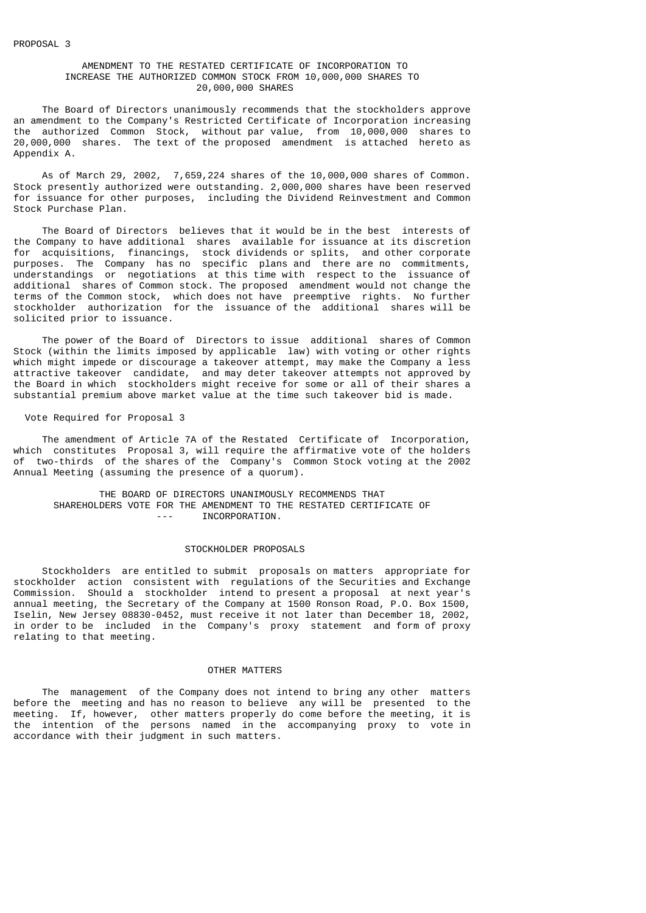## AMENDMENT TO THE RESTATED CERTIFICATE OF INCORPORATION TO INCREASE THE AUTHORIZED COMMON STOCK FROM 10,000,000 SHARES TO 20,000,000 SHARES

 The Board of Directors unanimously recommends that the stockholders approve an amendment to the Company's Restricted Certificate of Incorporation increasing the authorized Common Stock, without par value, from 10,000,000 shares to 20,000,000 shares. The text of the proposed amendment is attached hereto as Appendix A.

 As of March 29, 2002, 7,659,224 shares of the 10,000,000 shares of Common. Stock presently authorized were outstanding. 2,000,000 shares have been reserved for issuance for other purposes, including the Dividend Reinvestment and Common Stock Purchase Plan.

 The Board of Directors believes that it would be in the best interests of the Company to have additional shares available for issuance at its discretion for acquisitions, financings, stock dividends or splits, and other corporate purposes. The Company has no specific plans and there are no commitments, understandings or negotiations at this time with respect to the issuance of additional shares of Common stock. The proposed amendment would not change the terms of the Common stock, which does not have preemptive rights. No further stockholder authorization for the issuance of the additional shares will be solicited prior to issuance.

 The power of the Board of Directors to issue additional shares of Common Stock (within the limits imposed by applicable law) with voting or other rights which might impede or discourage a takeover attempt, may make the Company a less attractive takeover candidate, and may deter takeover attempts not approved by the Board in which stockholders might receive for some or all of their shares a substantial premium above market value at the time such takeover bid is made.

Vote Required for Proposal 3

 The amendment of Article 7A of the Restated Certificate of Incorporation, which constitutes Proposal 3, will require the affirmative vote of the holders of two-thirds of the shares of the Company's Common Stock voting at the 2002 Annual Meeting (assuming the presence of a quorum).

 THE BOARD OF DIRECTORS UNANIMOUSLY RECOMMENDS THAT SHAREHOLDERS VOTE FOR THE AMENDMENT TO THE RESTATED CERTIFICATE OF --- INCORPORATION.

#### STOCKHOLDER PROPOSALS

 Stockholders are entitled to submit proposals on matters appropriate for stockholder action consistent with regulations of the Securities and Exchange Commission. Should a stockholder intend to present a proposal at next year's annual meeting, the Secretary of the Company at 1500 Ronson Road, P.O. Box 1500, Iselin, New Jersey 08830-0452, must receive it not later than December 18, 2002, in order to be included in the Company's proxy statement and form of proxy relating to that meeting.

## OTHER MATTERS

 The management of the Company does not intend to bring any other matters before the meeting and has no reason to believe any will be presented to the meeting. If, however, other matters properly do come before the meeting, it is the intention of the persons named in the accompanying proxy to vote in accordance with their judgment in such matters.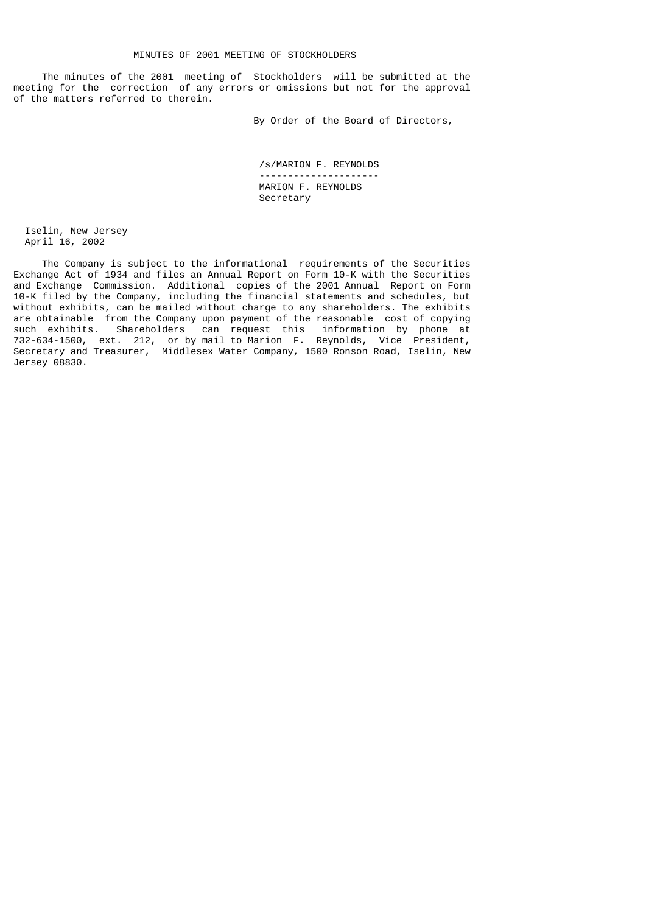The minutes of the 2001 meeting of Stockholders will be submitted at the meeting for the correction of any errors or omissions but not for the approval of the matters referred to therein.

By Order of the Board of Directors,

 /s/MARION F. REYNOLDS --------------------- MARION F. REYNOLDS Secretary

 Iselin, New Jersey April 16, 2002

 The Company is subject to the informational requirements of the Securities Exchange Act of 1934 and files an Annual Report on Form 10-K with the Securities and Exchange Commission. Additional copies of the 2001 Annual Report on Form 10-K filed by the Company, including the financial statements and schedules, but without exhibits, can be mailed without charge to any shareholders. The exhibits are obtainable from the Company upon payment of the reasonable cost of copying such exhibits. Shareholders can request this information by phone at 732-634-1500, ext. 212, or by mail to Marion F. Reynolds, Vice President, Secretary and Treasurer, Middlesex Water Company, 1500 Ronson Road, Iselin, New Jersey 08830.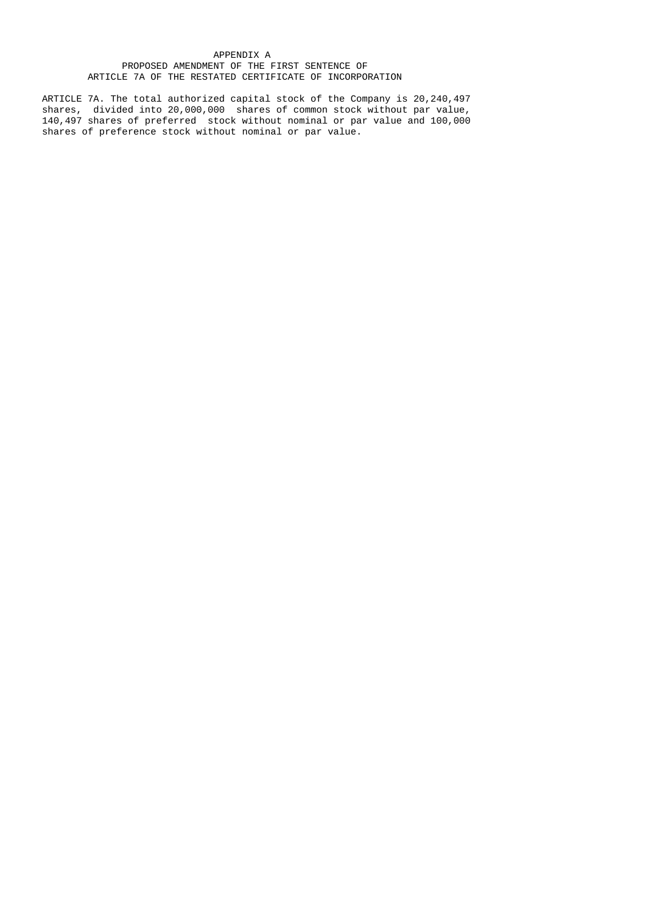# APPENDIX A PROPOSED AMENDMENT OF THE FIRST SENTENCE OF ARTICLE 7A OF THE RESTATED CERTIFICATE OF INCORPORATION

 ARTICLE 7A. The total authorized capital stock of the Company is 20,240,497 shares, divided into 20,000,000 shares of common stock without par value, 140,497 shares of preferred stock without nominal or par value and 100,000 shares of preference stock without nominal or par value.